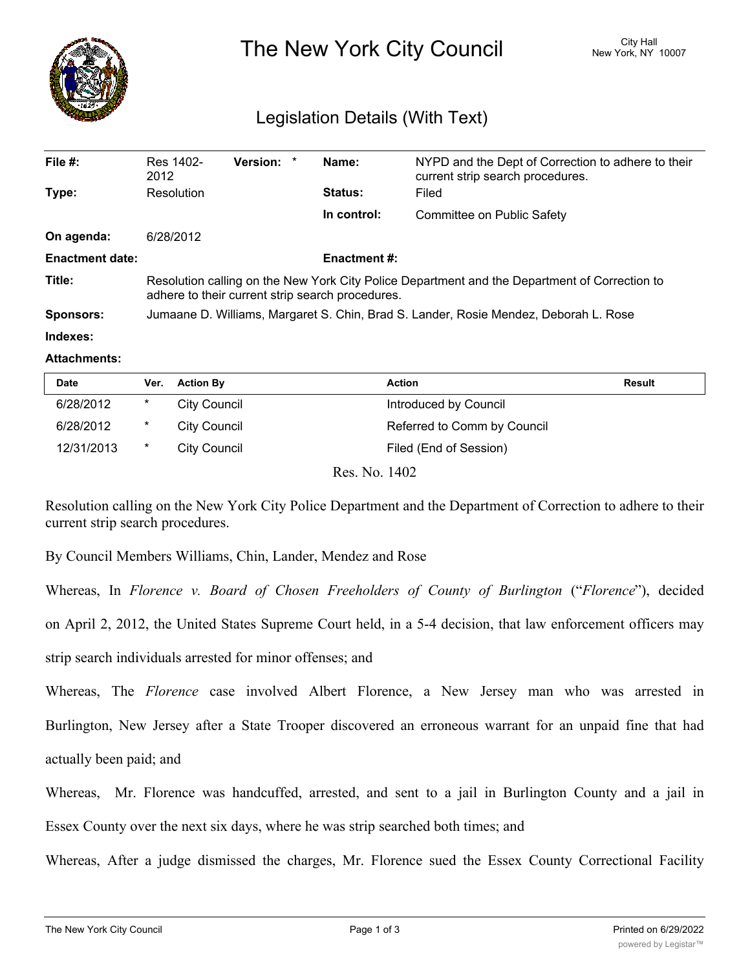

# The New York City Council New York, NY 10007

## Legislation Details (With Text)

| File $#$ :             | Res 1402-<br>2012                                                                                                                                 | Version: * |  | Name:          | NYPD and the Dept of Correction to adhere to their<br>current strip search procedures. |  |  |
|------------------------|---------------------------------------------------------------------------------------------------------------------------------------------------|------------|--|----------------|----------------------------------------------------------------------------------------|--|--|
| Type:                  | Resolution                                                                                                                                        |            |  | <b>Status:</b> | Filed                                                                                  |  |  |
|                        |                                                                                                                                                   |            |  | In control:    | Committee on Public Safety                                                             |  |  |
| On agenda:             | 6/28/2012                                                                                                                                         |            |  |                |                                                                                        |  |  |
| <b>Enactment date:</b> | <b>Enactment #:</b>                                                                                                                               |            |  |                |                                                                                        |  |  |
| Title:                 | Resolution calling on the New York City Police Department and the Department of Correction to<br>adhere to their current strip search procedures. |            |  |                |                                                                                        |  |  |
| Sponsors:              | Jumaane D. Williams, Margaret S. Chin, Brad S. Lander, Rosie Mendez, Deborah L. Rose                                                              |            |  |                |                                                                                        |  |  |
| Indexes:               |                                                                                                                                                   |            |  |                |                                                                                        |  |  |

#### **Attachments:**

| <b>Date</b> | Ver.    | <b>Action By</b>       | <b>Action</b>               | <b>Result</b> |
|-------------|---------|------------------------|-----------------------------|---------------|
| 6/28/2012   | $\ast$  | City Council           | Introduced by Council       |               |
| 6/28/2012   | $\star$ | <b>City Council</b>    | Referred to Comm by Council |               |
| 12/31/2013  | $\ast$  | <b>City Council</b>    | Filed (End of Session)      |               |
|             |         | $\mathbf{r}$<br>$\sim$ | $\sqrt{100}$                |               |

Res. No. 1402

Resolution calling on the New York City Police Department and the Department of Correction to adhere to their current strip search procedures.

By Council Members Williams, Chin, Lander, Mendez and Rose

Whereas, In *Florence v. Board of Chosen Freeholders of County of Burlington* ("*Florence*"), decided

on April 2, 2012, the United States Supreme Court held, in a 5-4 decision, that law enforcement officers may

strip search individuals arrested for minor offenses; and

Whereas, The *Florence* case involved Albert Florence, a New Jersey man who was arrested in Burlington, New Jersey after a State Trooper discovered an erroneous warrant for an unpaid fine that had actually been paid; and

Whereas, Mr. Florence was handcuffed, arrested, and sent to a jail in Burlington County and a jail in Essex County over the next six days, where he was strip searched both times; and

Whereas, After a judge dismissed the charges, Mr. Florence sued the Essex County Correctional Facility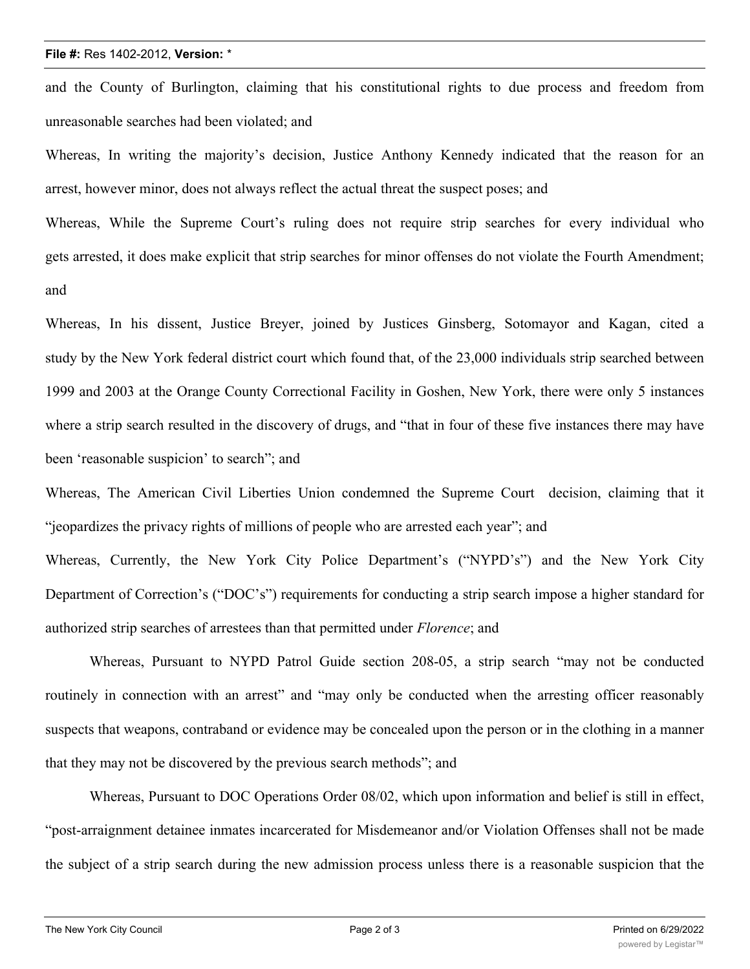#### **File #:** Res 1402-2012, **Version:** \*

and the County of Burlington, claiming that his constitutional rights to due process and freedom from unreasonable searches had been violated; and

Whereas, In writing the majority's decision, Justice Anthony Kennedy indicated that the reason for an arrest, however minor, does not always reflect the actual threat the suspect poses; and

Whereas, While the Supreme Court's ruling does not require strip searches for every individual who gets arrested, it does make explicit that strip searches for minor offenses do not violate the Fourth Amendment; and

Whereas, In his dissent, Justice Breyer, joined by Justices Ginsberg, Sotomayor and Kagan, cited a study by the New York federal district court which found that, of the 23,000 individuals strip searched between 1999 and 2003 at the Orange County Correctional Facility in Goshen, New York, there were only 5 instances where a strip search resulted in the discovery of drugs, and "that in four of these five instances there may have been 'reasonable suspicion' to search"; and

Whereas, The American Civil Liberties Union condemned the Supreme Court decision, claiming that it "jeopardizes the privacy rights of millions of people who are arrested each year"; and

Whereas, Currently, the New York City Police Department's ("NYPD's") and the New York City Department of Correction's ("DOC's") requirements for conducting a strip search impose a higher standard for authorized strip searches of arrestees than that permitted under *Florence*; and

Whereas, Pursuant to NYPD Patrol Guide section 208-05, a strip search "may not be conducted routinely in connection with an arrest" and "may only be conducted when the arresting officer reasonably suspects that weapons, contraband or evidence may be concealed upon the person or in the clothing in a manner that they may not be discovered by the previous search methods"; and

Whereas, Pursuant to DOC Operations Order 08/02, which upon information and belief is still in effect, "post-arraignment detainee inmates incarcerated for Misdemeanor and/or Violation Offenses shall not be made the subject of a strip search during the new admission process unless there is a reasonable suspicion that the